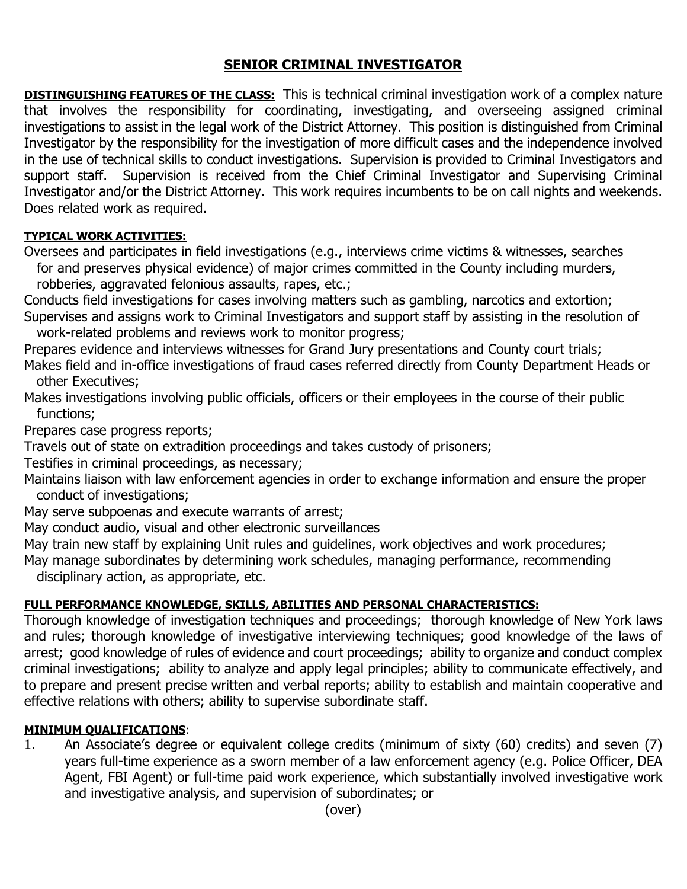# **SENIOR CRIMINAL INVESTIGATOR**

**DISTINGUISHING FEATURES OF THE CLASS:** This is technical criminal investigation work of a complex nature that involves the responsibility for coordinating, investigating, and overseeing assigned criminal investigations to assist in the legal work of the District Attorney. This position is distinguished from Criminal Investigator by the responsibility for the investigation of more difficult cases and the independence involved in the use of technical skills to conduct investigations. Supervision is provided to Criminal Investigators and support staff. Supervision is received from the Chief Criminal Investigator and Supervising Criminal Investigator and/or the District Attorney. This work requires incumbents to be on call nights and weekends. Does related work as required.

## **TYPICAL WORK ACTIVITIES:**

Oversees and participates in field investigations (e.g., interviews crime victims & witnesses, searches for and preserves physical evidence) of major crimes committed in the County including murders, robberies, aggravated felonious assaults, rapes, etc.;

Conducts field investigations for cases involving matters such as gambling, narcotics and extortion; Supervises and assigns work to Criminal Investigators and support staff by assisting in the resolution of work-related problems and reviews work to monitor progress;

Prepares evidence and interviews witnesses for Grand Jury presentations and County court trials;

Makes field and in-office investigations of fraud cases referred directly from County Department Heads or other Executives;

Makes investigations involving public officials, officers or their employees in the course of their public functions;

Prepares case progress reports;

Travels out of state on extradition proceedings and takes custody of prisoners;

Testifies in criminal proceedings, as necessary;

Maintains liaison with law enforcement agencies in order to exchange information and ensure the proper conduct of investigations;

May serve subpoenas and execute warrants of arrest;

May conduct audio, visual and other electronic surveillances

May train new staff by explaining Unit rules and guidelines, work objectives and work procedures;

May manage subordinates by determining work schedules, managing performance, recommending disciplinary action, as appropriate, etc.

# **FULL PERFORMANCE KNOWLEDGE, SKILLS, ABILITIES AND PERSONAL CHARACTERISTICS:**

Thorough knowledge of investigation techniques and proceedings; thorough knowledge of New York laws and rules; thorough knowledge of investigative interviewing techniques; good knowledge of the laws of arrest; good knowledge of rules of evidence and court proceedings; ability to organize and conduct complex criminal investigations; ability to analyze and apply legal principles; ability to communicate effectively, and to prepare and present precise written and verbal reports; ability to establish and maintain cooperative and effective relations with others; ability to supervise subordinate staff.

#### **MINIMUM QUALIFICATIONS**:

1. An Associate's degree or equivalent college credits (minimum of sixty (60) credits) and seven (7) years full-time experience as a sworn member of a law enforcement agency (e.g. Police Officer, DEA Agent, FBI Agent) or full-time paid work experience, which substantially involved investigative work and investigative analysis, and supervision of subordinates; or